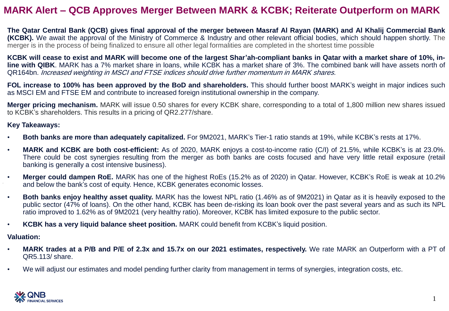## **MARK Alert – QCB Approves Merger Between MARK & KCBK; Reiterate Outperform on MARK**

The Qatar Central Bank (QCB) gives final approval of the merger between Masraf AI Rayan (MARK) and AI Khalij Commercial Bank **(KCBK).** We await the approval of the Ministry of Commerce & Industry and other relevant official bodies, which should happen shortly. The merger is in the process of being finalized to ensure all other legal formalities are completed in the shortest time possible

KCBK will cease to exist and MARK will become one of the largest Shar'ah-compliant banks in Qatar with a market share of 10%, in**line with QIBK**. MARK has a 7% market share in loans, while KCBK has a market share of 3%. The combined bank will have assets north of QR164bn. Increased weighting in MSCI and FTSE indices should drive further momentum in MARK shares.

**FOL increase to 100% has been approved by the BoD and shareholders.** This should further boost MARK's weight in major indices such as MSCI EM and FTSE EM and contribute to increased foreign institutional ownership in the company.

**Merger pricing mechanism.** MARK will issue 0.50 shares for every KCBK share, corresponding to a total of 1,800 million new shares issued to KCBK's shareholders. This results in a pricing of QR2.277/share.

### **Key Takeaways:**

- **Both banks are more than adequately capitalized.** For 9M2021, MARK's Tier-1 ratio stands at 19%, while KCBK's rests at 17%.
- **MARK and KCBK are both cost-efficient:** As of 2020, MARK enjoys a cost-to-income ratio (C/I) of 21.5%, while KCBK's is at 23.0%. There could be cost synergies resulting from the merger as both banks are costs focused and have very little retail exposure (retail banking is generally a cost intensive business).
- **Merger could dampen RoE.** MARK has one of the highest RoEs (15.2% as of 2020) in Qatar. However, KCBK's RoE is weak at 10.2% and below the bank's cost of equity. Hence, KCBK generates economic losses.
- **Both banks enjoy healthy asset quality.** MARK has the lowest NPL ratio (1.46% as of 9M2021) in Qatar as it is heavily exposed to the public sector (47% of loans). On the other hand, KCBK has been de-risking its loan book over the past several years and as such its NPL ratio improved to 1.62% as of 9M2021 (very healthy ratio). Moreover, KCBK has limited exposure to the public sector.
- **KCBK has a very liquid balance sheet position.** MARK could benefit from KCBK's liquid position.

## **Valuation:**

- MARK trades at a P/B and P/E of 2.3x and 15.7x on our 2021 estimates, respectively. We rate MARK an Outperform with a PT of QR5.113/ share.
- We will adjust our estimates and model pending further clarity from management in terms of synergies, integration costs, etc.

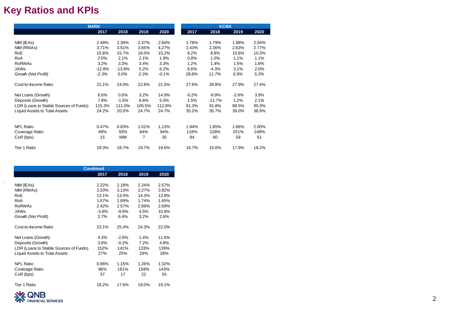# **Key Ratios and KPIs**

|                                        | <b>MARK</b> |          |        |         |         |       |          | <b>KCBK</b> |
|----------------------------------------|-------------|----------|--------|---------|---------|-------|----------|-------------|
|                                        | 2017        | 2018     | 2019   | 2020    | 2017    |       | 2018     | 2019        |
|                                        |             |          |        |         |         |       |          |             |
| NIM (IEAs)                             | 2.48%       | 2.39%    | 2.37%  | 2.60%   | 1.78%   |       | 1.79%    | 1.98%       |
| NIM (RWAs)                             | 3.71%       | 3.61%    | 3.65%  | 4.27%   | 2.43%   |       | 2.36%    | 2.63%       |
| <b>RoE</b>                             | 15.6%       | 15.7%    | 16.0%  | 15.2%   | 8.2%    |       | 8.8%     | 10.6%       |
| RoA                                    | 2.0%        | 2.1%     | 2.1%   | 1.9%    | 0.8%    |       | 1.0%     | 1.1%        |
| <b>RoRWAs</b>                          | 3.2%        | 3.3%     | 3.4%   | 3.3%    | 1.2%    |       | 1.4%     | 1.5%        |
| <b>JAWs</b>                            | $-12.8%$    | $-13.9%$ | 5.2%   | 6.2%    | 6.6%    |       | $-4.3%$  | 3.1%        |
| Growth (Net Profit)                    | $-2.3%$     | 5.0%     | 2.3%   | $-0.1%$ | 28.8%   |       | 11.7%    | 6.9%        |
| Cost-to-Income Ratio                   | 21.1%       | 24.0%    | 22.8%  | 21.5%   | 27.6%   |       | 28.8%    | 27.9%       |
| Net Loans (Growth)                     | 6.6%        | 0.6%     | 3.2%   | 14.9%   | $-0.2%$ |       | $-9.9%$  | $-2.6%$     |
| Deposits (Growth)                      | 7.8%        | $-1.5%$  | 6.6%   | 5.0%    | 1.5%    |       | $-11.7%$ | 1.2%        |
| LDR (Loans to Stable Sources of Funds) | 115.3%      | 111.0%   | 105.5% | 112.8%  | 91.3%   |       | 91.8%    | 88.5%       |
| Liquid Assets to Total Assets          | 24.2%       | 20.5%    | 24.7%  | 24.7%   | 35.2%   | 35.7% |          | 39.0%       |
|                                        |             |          |        |         |         |       |          |             |
| <b>NPL Ratio</b>                       | 0.47%       | 0.83%    | 1.01%  | 1.13%   | 1.94%   | 1.85% |          | 1.86%       |
| Coverage Ratio                         | 49%         | 93%      | 84%    | 94%     | 118%    | 228%  |          | 251%        |
| CoR (bps)                              | 15          | N/M      | 7      | 35      | 84      | 60    |          | 59          |
| Tier 1 Ratio                           | 19.3%       | 18.7%    | 19.7%  | 19.6%   | 16.7%   | 15.6% |          | 17.9%       |

|                                        | <b>Combined</b> |          |       |       |
|----------------------------------------|-----------------|----------|-------|-------|
|                                        | 2017            | 2018     | 2019  | 2020  |
|                                        |                 |          |       |       |
| NIM (IEAs)                             | 2.22%           | 2.18%    | 2.24% | 2.57% |
| NIM (RWAs)                             | 3.20%           | 3.13%    | 3.27% | 3.92% |
| RoE                                    | 13.1%           | 13.4%    | 14.3% | 13.9% |
| RoA                                    | 1.57%           | 1.69%    | 1.74% | 1.65% |
| <b>RoRWAs</b>                          | 2.42%           | 2.57%    | 2.69% | 2.69% |
| JAWs                                   | $-3.8%$         | $-9.9\%$ | 4.5%  | 10.8% |
| Growth (Net Profit)                    | 2.7%            | 6.4%     | 3.2%  | 2.6%  |
|                                        |                 |          |       |       |
| Cost-to-Income Ratio                   | 23.1%           | 25.4%    | 24.3% | 22.0% |
|                                        |                 |          |       |       |
| Net Loans (Growth)                     | 4.3%            | $-2.8%$  | 1.4%  | 11.6% |
| Deposits (Growth)                      | 3.8%            | $-0.2%$  | 7.2%  | 4.8%  |
| LDR (Loans to Stable Sources of Funds) | 152%            | 141%     | 133%  | 139%  |
| <b>Liquid Assets to Total Assets</b>   | 27%             | 25%      | 29%   | 28%   |
|                                        |                 |          |       |       |
| <b>NPL Ratio</b>                       | 0.96%           | 1.15%    | 1.26% | 1.32% |
| Coverage Ratio                         | 96%             | 161%     | 158%  | 143%  |
| CoR (bps)                              | 37              | 17       | 22    | 55    |
|                                        |                 |          |       |       |
| Tier 1 Ratio                           | 18.2%           | 17.6%    | 19.0% | 19.1% |



 $\mathcal{A}$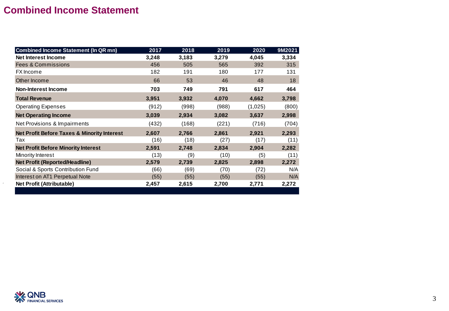# **Combined Income Statement**

| <b>Combined Income Statement (In QR mn)</b>            | 2017  | 2018  | 2019  | 2020    | 9M2021 |
|--------------------------------------------------------|-------|-------|-------|---------|--------|
| Net Interest Income                                    | 3,248 | 3,183 | 3,279 | 4,045   | 3,334  |
| <b>Fees &amp; Commissions</b>                          | 456   | 505   | 565   | 392     | 315    |
| <b>FX</b> Income                                       | 182   | 191   | 180   | 177     | 131    |
| Other Income                                           | 66    | 53    | 46    | 48      | 18     |
| <b>Non-Interest Income</b>                             | 703   | 749   | 791   | 617     | 464    |
| <b>Total Revenue</b>                                   | 3,951 | 3,932 | 4,070 | 4,662   | 3,798  |
| <b>Operating Expenses</b>                              | (912) | (998) | (988) | (1,025) | (800)  |
| <b>Net Operating Income</b>                            | 3,039 | 2,934 | 3,082 | 3,637   | 2,998  |
| Net Provisions & Impairments                           | (432) | (168) | (221) | (716)   | (704)  |
| <b>Net Profit Before Taxes &amp; Minority Interest</b> | 2,607 | 2,766 | 2,861 | 2,921   | 2,293  |
| Tax                                                    | (16)  | (18)  | (27)  | (17)    | (11)   |
| <b>Net Profit Before Minority Interest</b>             | 2,591 | 2,748 | 2,834 | 2,904   | 2,282  |
| Minority Interest                                      | (13)  | (9)   | (10)  | (5)     | (11)   |
| <b>Net Profit (Reported/Headline)</b>                  | 2,579 | 2,739 | 2,825 | 2,898   | 2,272  |
| Social & Sports Contribution Fund                      | (66)  | (69)  | (70)  | (72)    | N/A    |
| Interest on AT1 Perpetual Note                         | (55)  | (55)  | (55)  | (55)    | N/A    |
| <b>Net Profit (Attributable)</b>                       | 2,457 | 2,615 | 2,700 | 2,771   | 2,272  |
|                                                        |       |       |       |         |        |



 $\Delta$